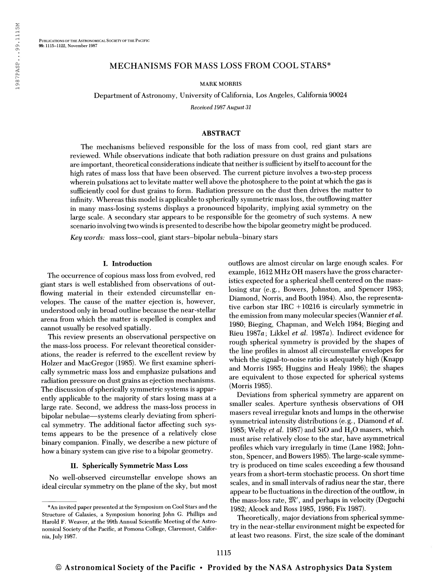# MECHANISMS FOR MASS LOSS FROM COOL STARS\*

MARK MORRIS

Department of Astronomy, University of California, Los Angeles, California 90024

Received 1987 August 31

### ABSTRACT

The mechanisms believed responsible for the loss of mass from cool, red giant stars are reviewed. While observations indicate that both radiation pressure on dust grains and pulsations are important, theoretical considerations indicate that neither is sufficient by itselfto account for the high rates of mass loss that have been observed. The current picture involves a two-step process wherein pulsations act to levitate matter well above the photosphere to the point at which the gas is sufficiently cool for dust grains to form. Radiation pressure on the dust then drives the matter to infinity. Whereas this model is applicable to spherically symmetric mass loss, the outflowing matter in many mass-losing systems displays a pronounced bipolarity, implying axial symmetry on the large scale. A secondary star appears to be responsible for the geometry of such systems. A new scenario involving two winds is presented to describe how the bipolar geometry might be produced.

Key words: mass loss-cool, giant stars-bipolar nebula-binary stars

### I. Introduction

The occurrence of copious mass loss from evolved, red giant stars is well established from observations of outflowing material in their extended circumstellar envelopes. The cause of the matter ejection is, however, understood only in broad outline because the near-stellar arena from which the matter is expelled is complex and cannot usually be resolved spatially.

This review presents an observational perspective on the mass-loss process. For relevant theoretical considerations, the reader is referred to the excellent review by Holzer and MacGregor (1985). We first examine spherically symmetric mass loss and emphasize pulsations and radiation pressure on dust grains as ejection mechanisms. The discussion of spherically symmetric systems is apparently applicable to the majority of stars losing mass at a large rate. Second, we address the mass-loss process in bipolar nebulae—systems clearly deviating from spherical symmetry. The additional factor affecting such systems appears to be the presence of a relatively close binary companion. Finally, we describe a new picture of how a binary system can give rise to a bipolar geometry.

#### II. Spherically Symmetric Mass Loss

No well-observed circumstellar envelope shows an ideal circular symmetry on the plane of the sky, but most outflows are almost circular on large enough scales. For example, 1612 MHz OH masers have the gross characteristics expected for a spherical shell centered on the masslosing star (e.g.. Bowers, Johnston, and Spencer 1983; Diamond, Norris, and Booth 1984). Also, the representative carbon star IRC +10216 is circularly symmetric in the emission from many molecular species (Wannier *et al.* 1980; Bieging, Chapman, and Welch 1984; Bieging and Rieu 1987a; Likkel et al. 1987a). Indirect evidence for rough spherical symmetry is provided by the shapes of the line profiles in almost all circumstellar envelopes for which the signal-to-noise ratio is adequately high (Knapp and Morris 1985; Huggins and Healy 1986); the shapes are equivalent to those expected for spherical systems (Morris 1985).

Deviations from spherical symmetry are apparent on smaller scales. Aperture synthesis observations of OH masers reveal irregular knots and lumps in the otherwise symmetrical intensity distributions (e.g., Diamond *et al.*) 1985; Welty *et al.* 1987) and SiO and  $H_2O$  masers, which must arise relatively close to the star, have asymmetrical profiles which vary irregularly in time (Lane 1982; Johnston, Spencer, and Bowers 1985). The large-scale symmetry is produced on time scales exceeding a few thousand years from a short-term stochastic process. On short time scales, and in small intervals of radius near the star, there appear to be fluctuations in the direction of the outflow, in the mass-loss rate,  $\mathfrak{M}'$ , and perhaps in velocity (Deguchi 1982; Alcock and Ross 1985, 1986; Fix 1987).

Theoretically, major deviations from spherical symmetry in the near-stellar environment might be expected for at least two reasons. First, the size scale of the dominant

<sup>\*</sup>An invited paper presented at the Symposium on Cool Stars and the Structure of Galaxies, a Symposium honoring John G. Phillips and Harold F. Weaver, at the 99th Annual Scientific Meeting of the Astronomical Society of the Pacific, at Pomona College, Claremont, California, July 1987.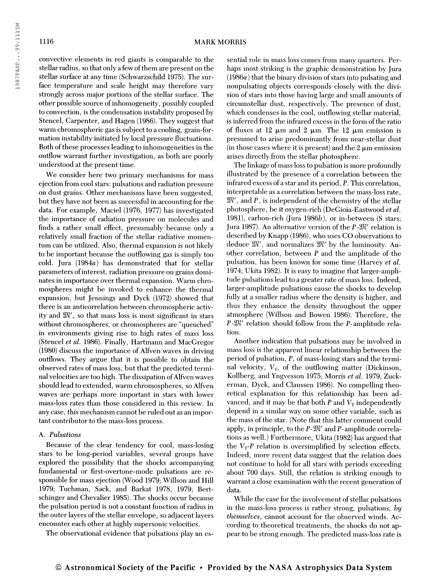convective elements in red giants is comparable to the stellar radius, so that only a few of them are present on the stellar surface at any time (Schwarzschild 1975). The surface temperature and scale height may therefore vary strongly across major portions of the stellar surface. The other possible source ofinhomogeneity, possibly coupled to convection, is the condensation instability proposed by Stencel, Carpenter, and Hägen (1986). They suggest that warm chromospheric gas is subject to a cooling, grain-formation instability initiated by local pressure fluctuations. Both of these processes leading to inhomogeneities in the outflow warrant further investigation, as both are poorly understood at the present time.

We consider here two primary mechanisms for mass ejection from cool stars: pulsations and radiation pressure on dust grains. Other mechanisms have been suggested, but they have not been as successful in accounting for the data. For example, Maciel (1976, 1977) has investigated the importance of radiation pressure on molecules and finds a rather small effect, presumably because only a relatively small fraction of the stellar radiative momentum can be utilized. Also, thermal expansion is not likely to be important because the outflowing gas is simply too cold. Jura (1984a) has demonstrated that for stellar parameters ofinterest, radiation pressure on grains dominates in importance over thermal expansion. Warm chromospheres might be invoked to enhance the thermal expansion, but Jennings and Dyck (1972) showed that there is an anticorrelation between chromospheric activity and  $\mathfrak{M}'$ , so that mass loss is most significant in stars without chromospheres, or chromospheres are "quenched" in environments giving rise to high rates of mass loss (Stencel et al. 1986). Finally, Hartmann and MacGregor (1980) discuss the importance of Alfven waves in driving outflows. They argue that it is possible to obtain the observed rates of mass loss, but that the predicted terminal velocities are too high. The dissipation ofAlfven waves should lead to extended, warm chromospheres, so Alfven waves are perhaps more important in stars with lower mass-loss rates than those considered in this review. In any case, this mechanism cannot be ruled out as an important contributor to the mass-loss process.

# A. Pulsations

Because of the clear tendency for cool, mass-losing stars to be long-period variables, several groups have explored the possibility that the shocks accompanying fundamental or first-overtone-mode pulsations are responsible for mass ejection (Wood 1979; Willson and Hill 1979; Tuchman, Sack, and Barkat 1978, 1979; Bertschinger and Chevalier 1985). The shocks occur because the pulsation period is not a constant function ofradius in the outer layers of the stellar envelope, so adjacent layers encounter each other at highly supersonic velocities.

The observational evidence that pulsations play an es-

sential role in mass loss comes from many quarters. Perhaps most striking is the graphic demonstration by Jura  $(1986a)$  that the binary division of stars into pulsating and nonpulsating objects corresponds closely with the division of stars into those having large and small amounts of circumstellar dust, respectively. The presence of dust, which condenses in the cool, outflowing stellar material, is inferred from the infrared excess in the form of the ratio of fluxes at 12  $\mu$ m and 2  $\mu$ m. The 12  $\mu$ m emission is presumed to arise predominantly from near-stellar dust (in those cases where it is present) and the  $2 \mu m$  emission arises directly from the stellar photosphere.

The linkage of mass loss to pulsation is more profoundly illustrated by the presence of a correlation between the infrared excess of a star and its period, P. This correlation, interpretable as a correlation between the mass-loss rate,  $\mathfrak{M}'$ , and  $P$ , is independent of the chemistry of the stellar photosphere, be it oxygen-rich (DeGioia-Eastwood et al. 1981), carbon-rich (Jura 1986 $b$ ), or in-between (S stars; Jura 1987). An alternative version of the  $P-M'$  relation is described by Knapp (1986), who uses CO observations to deduce  $\mathfrak{M}'$ , and normalizes  $\mathfrak{M}'$  by the luminosity. Another correlation, between  $P$  and the amplitude of the pulsation, has been known for some time (Harvey et al. 1974; Ukita 1982). It is easy to imagine that larger-amplitude pulsations lead to a greater rate of mass loss. Indeed, larger-amplitude pulsations cause the shocks to develop fully at a smaller radius where the density is higher, and thus they enhance the density throughout the upper atmosphere (Willson and Bowen 1986). Therefore, the  $P-M'$  relation should follow from the P-amplitude relation.

Another indication that pulsations may be involved in mass loss is the apparent linear relationship between the period of pulsation,  $P$ , of mass-losing stars and the terminal velocity,  $V_T$ , of the outflowing matter (Dickinson, Kollberg, and Yngvesson 1975; Morris et al. 1979; Zuckerman, Dyck, and Claussen 1986). No compelling theoretical explanation for this relationship has been advanced, and it may be that both P and  $V<sub>T</sub>$  independently depend in a similar way on some other variable, such as the mass of the star. (Note that this latter comment could apply, in principle, to the  $P-\mathfrak{M}'$  and  $P$ -amplitude correlations as well.) Furthermore, Ukita (1982) has argued that the  $V_T$ -P relation is oversimplified by selection effects. Indeed, more recent data suggest that the relation does not continue to hold for all stars with periods exceeding about 700 days. Still, the relation is striking enough to warrant a close examination with the recent generation of data.

While the case for the involvement of stellar pulsations in the mass-loss process is rather strong, pulsations, by themselves, cannot account for the observed winds. According to theoretical treatments, the shocks do not appear to be strong enough. The predicted mass-loss rate is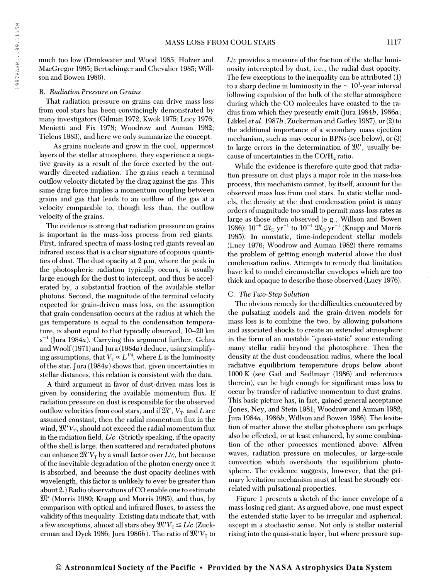### B. Radiation Pressure on Grains

son and Bowen 1986).

That radiation pressure on grains can drive mass loss from cool stars has been convincingly demonstrated by many investigators (Gilman 1972; Kwok 1975; Lucy 1976; Menietti and Fix 1978; Woodrow and Auman 1982; Tielens 1983), and here we only summarize the concept.

As grains nucleate and grow in the cool, uppermost layers of the stellar atmosphere, they experience a negative gravity as a result of the force exerted by the outwardly directed radiation. The grains reach a terminal outflow velocity dictated by the drag against the gas. This same drag force implies a momentum coupling between grains and gas that leads to an outflow of the gas at a velocity comparable to, though less than, the outflow velocity of the grains.

The evidence is strong that radiation pressure on grains is important in the mass-loss process from red giants. First, infrared spectra of mass-losing red giants reveal an infrared excess that is a clear signature of copious quantities of dust. The dust opacity at  $2 \mu m$ , where the peak in the photospheric radiation typically occurs, is usually large enough for the dust to intercept, and thus be accelerated by, a substantial fraction of the available stellar photons. Second, the magnitude of the terminal velocity expected for grain-driven mass loss, on the assumption that grain condensation occurs at the radius at which the gas temperature is equal to the condensation temperature, is about equal to that typically observed, 10-20 km  $s^{-1}$  (Jura 1984a). Carrying this argument further, Gehrz and Woolf(1971) and Jura (1984a) deduce, using simplifying assumptions, that  $V_{\text{T}}$   $\propto$   $L^{1/4},$  where  $L$  is the luminosity of the star. Jura  $(1984a)$  shows that, given uncertainties in stellar distances, this relation is consistent with the data.

A third argument in favor of dust-driven mass loss is given by considering the available momentum flux. If radiation pressure on dust is responsible for the observed outflow velocities from cool stars, and if  $\mathfrak{M}'$ ,  $V_T$ , and  $L$  are assumed constant, then the radial momentum flux in the wind,  $\mathfrak{M}'V_{\tau}$ , should not exceed the radial momentum flux in the radiation field,  $L/c$ . (Strictly speaking, if the opacity ofthe shell is large, then scattered and reradiated photons can enhance  $\mathfrak{M}'V_T$  by a small factor over  $L/c$ , but because of the inevitable degradation of the photon energy once it is absorbed, and because the dust opacity declines with wavelength, this factor is unlikely to ever be greater than about 2.) Radio observations ofCO enable one to estimate  $\mathfrak{M}'$  (Morris 1980; Knapp and Morris 1985), and thus, by comparison with optical and infrared fluxes, to assess the validity of this inequality. Existing data indicate that, with a few exceptions, almost all stars obey  $\mathfrak{M}'V_\text{T} \leq L/c$  (Zuckerman and Dyck 1986; Jura 1986b). The ratio of  $\mathfrak{M}'V_{\text{T}}$  to  $L/c$  provides a measure of the fraction of the stellar luminosity intercepted by dust, i.e., the radial dust opacity. The few exceptions to the inequality can be attributed (1) to a sharp decline in luminosity in the  $\sim 10^3$ -year interval following expulsion of the bulk of the stellar atmosphere during which the CO molecules have coasted to the radius from which they presently emit (Jura 1984 $b$ , 1986 $a$ ; Likkel et al. 1987b; Zuckerman and Gatley 1987), or  $(2)$  to the additional importance of a secondary mass ejection mechanism, such as may occur in BPNs (see below), or (3) to large errors in the determination of  $\mathfrak{M}'$ , usually because of uncertainties in the  $CO/H_2$  ratio.

While the evidence is therefore quite good that radiation pressure on dust plays a major role in the mass-loss process, this mechanism cannot, by itself, account for the observed mass loss from cool stars. In static stellar models, the density at the dust condensation point is many orders of magnitude too small to permit mass-loss rates as large as those often observed (e.g., Willson and Bowen targe as those often observed (e.g., whistom and bowen<br>1986):  $10^{-6}$   $\mathfrak{M}_{\odot}$  yr<sup>-1</sup> to  $10^{-4}$   $\mathfrak{M}_{\odot}$  yr<sup>-1</sup> (Knapp and Morris 1985). In nonstatic, time-independent stellar models (Lucy 1976; Woodrow and Auman 1982) there remains the problem of getting enough material above the dust condensation radius. Attempts to remedy that limitation have led to model circumstellar envelopes which are too thick and opaque to describe those observed (Lucy 1976).

### C. The Two-Step Solution

The obvious remedy for the difficulties encountered by the pulsating models and the grain-driven models for mass loss is to combine the two, by allowing pulsations and associated shocks to create an extended atmosphere in the form of an unstable "quasi-static" zone extending many stellar radii beyond the photosphere. Then the density at the dust condensation radius, where the local radiative equilibrium temperature drops below about  $1000 K$  (see Gail and Sedlmayr  $(1986)$  and references therein), can be high enough for significant mass loss to occur by transfer of radiative momentum to dust grains. This basic picture has, in fact, gained general acceptance (Jones, Ney, and Stein 1981; Woodrow and Auman 1982; Jura  $1984a$ ,  $1986b$ ; Willson and Bowen 1986). The levitation of matter above the stellar photosphere can perhaps also be effected, or at least enhanced, by some combination of the other processes mentioned above: Alfven waves, radiation pressure on molecules, or large-scale convection which overshoots the equilibrium photosphere. The evidence suggests, however, that the primary levitation mechanism must at least be strongly correlated with pulsational properties.

Figure <sup>1</sup> presents a sketch of the inner envelope of a mass-losing red giant. As argued above, one must expect the extended static layer to be irregular and aspherical, except in a stochastic sense. Not only is stellar material rising into the quasi-static layer, but where pressure sup-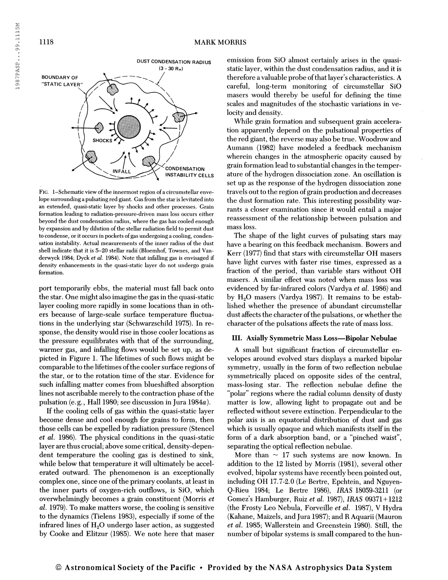

FIG. 1-Schematic view of the innermost region of a circumstellar envelope surrounding a pulsating red giant. Gas from the star is levitated into an extended, quasi-static layer by shocks and other processes. Grain formation leading to radiation-pressure-driven mass loss occurs either beyond the dust condensation radius, where the gas has cooled enough by expansion and by dilution of the stellar radiation field to permit dust to condense, or it occurs in pockets ofgas undergoing a cooling, condensation instability. Actual measurements of the inner radius of the dust shell indicate that it is 5-20 stellar radii (Bloemhof, Townes, and Vanderwyck 1984; Dyck et al. 1984). Note that infalling gas is envisaged if density enhancements in the quasi-static layer do not undergo grain formation.

port temporarily ebbs, the material must fall back onto the star. One might also imagine the gas in the quasi-static layer cooling more rapidly in some locations than in others because of large-scale surface temperature fluctuations in the underlying star (Schwarzschild 1975). In response, the density would rise in those cooler locations as the pressure equilibrates with that of the surrounding, warmer gas, and infalling flows would be set up, as depicted in Figure 1. The lifetimes of such flows might be comparable to the lifetimes of the cooler surface regions of the star, or to the rotation time of the star. Evidence for such infalling matter comes from blueshifted absorption lines not ascribable merely to the contraction phase of the pulsation (e.g.. Hall 1980; see discussion in Jura 1984a).

If the cooling cells of gas within the quasi-static layer become dense and cool enough for grains to form, then those cells can be expelled by radiation pressure (Stencel et al. 1986). The physical conditions in the quasi-static layer are thus crucial; above some critical, density-dependent temperature the cooling gas is destined to sink, while below that temperature it will ultimately be accelerated outward. The phenomenon is an exceptionally complex one, since one of the primary coolants, at least in the inner parts of oxygen-rich outflows, is SiO, which overwhelmingly becomes a grain constituent (Morris et al. 1979). To make matters worse, the cooling is sensitive to the dynamics (Tielens 1983), especially if some of the infrared lines of  $H<sub>2</sub>O$  undergo laser action, as suggested by Cooke and Elitzur (1985). We note here that maser emission from SiO almost certainly arises in the quasistatic layer, within the dust condensation radius, and it is therefore a valuable probe of that layer's characteristics. A careful, long-term monitoring of circumstellar SiO masers would thereby be useful for defining the time scales and magnitudes of the stochastic variations in velocity and density.

While grain formation and subsequent grain acceleration apparently depend on the pulsational properties of the red giant, the reverse may also be true. Woodrow and Aumann (1982) have modeled a feedback mechanism wherein changes in the atmospheric opacity caused by grain formation lead to substantial changes in the temperature of the hydrogen dissociation zone. An oscillation is set up as the response of the hydrogen dissociation zone travels out to the region of grain production and decreases the dust formation rate. This interesting possibility warrants a closer examination since it would entail a major reassessment of the relationship between pulsation and mass loss.

The shape of the light curves of pulsating stars may have a bearing on this feedback mechanism. Bowers and Kerr (1977) find that stars with circumstellar OH masers have light curves with faster rise times, expressed as a fraction of the period, than variable stars without OH masers. A similar effect was noted when mass loss was evidenced by far-infrared colors (Vardya et al. 1986) and by  $H<sub>2</sub>O$  masers (Vardya 1987). It remains to be established whether the presence of abundant circumstellar dust affects the character of the pulsations, or whether the character of the pulsations affects the rate of mass loss.

## III. Axially Symmetric Mass Loss—Bipolar Nebulae

A small but significant fraction of circumstellar envelopes around evolved stars displays a marked bipolar symmetry, usually in the form of two reflection nebulae symmetrically placed on opposite sides of the central, mass-losing star. The reflection nebulae define the "polar" regions where the radial column density of dusty matter is low, allowing light to propagate out and be reflected without severe extinction. Perpendicular to the polar axis is an equatorial distribution of dust and gas which is usually opaque and which manifests itself in the form of a dark absorption band, or a "pinched waist", separating the optical reflection nebulae.

More than  $\sim$  17 such systems are now known. In addition to the 12 listed by Morris (1981), several other evolved, bipolar systems have recently been pointed out, including OH 17.7-2.0 (Le Bertre, Epchtein, and Nguyen-Q-Rieu 1984; Le Bertre 1986), IRAS 18059-3211 (or Gomez's Hamburger, Ruiz et al. 1987), IRAS 09371 + 1212 (the Frosty Leo Nebula, Forveille et al. 1987), V Hydra (Kahane, Maizels, and Jura 1987); and R Aquarii (Mauron et al. 1985; Wallerstein and Greenstein 1980). Still, the number of bipolar systems is small compared to the hun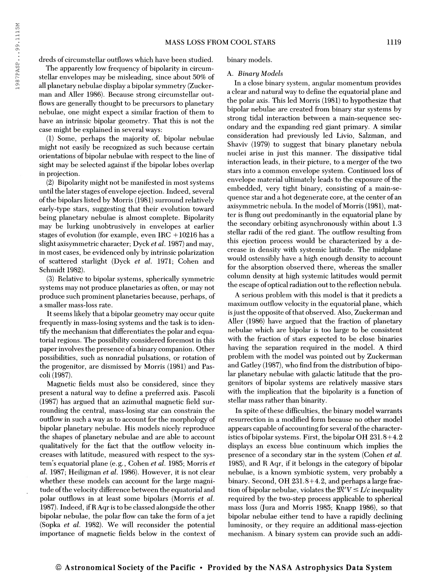dreds of circumstellar outflows which have been studied.

The apparently low frequency of bipolarity in circumstellar envelopes may be misleading, since about 50% of all planetary nebulae display a bipolar symmetry (Zuckerman and Aller 1986). Because strong circumstellar outflows are generally thought to be precursors to planetary nebulae, one might expect a similar fraction of them to have an intrinsic bipolar geometry. That this is not the case might be explained in several ways:

(1) Some, perhaps the majority of, bipolar nebulae might not easily be recognized as such because certain orientations of bipolar nebulae with respect to the line of sight may be selected against if the bipolar lobes overlap in projection.

(2) Bipolarity might not be manifested in most systems until the later stages of envelope ejection. Indeed, several of the bipolars listed by Morris (1981) surround relatively early-type stars, suggesting that their evolution toward being planetary nebulae is almost complete. Bipolarity may be lurking unobtrusively in envelopes at earlier stages of evolution (for example, even IRC  $+10216$  has a slight axisymmetric character; Dyck *et al.* 1987) and may, in most cases, be evidenced only by intrinsic polarization of scattered starlight (Dyck et al. 1971; Cohen and Schmidt 1982).

(3) Relative to bipolar systems, spherically symmetric systems may not produce planetaries as often, or may not produce such prominent planetaries because, perhaps, of a smaller mass-loss rate.

It seems likely that a bipolar geometry may occur quite frequently in mass-losing systems and the task is to identify the mechanism that differentiates the polar and equatorial regions. The possibility considered foremost in this paper involves the presence ofa binary companion. Other possibilities, such as nonradial pulsations, or rotation of the progenitor, are dismissed by Morris (1981) and Pascoli (1987).

Magnetic fields must also be considered, since they present a natural way to define a preferred axis. Pascoli (1987) has argued that an azimuthal magnetic field surrounding the central, mass-losing star can constrain the outflow in such a way as to account for the morphology of bipolar planetary nebulae. His models nicely reproduce the shapes of planetary nebulae and are able to account qualitatively for the fact that the outflow velocity increases with latitude, measured with respect to the system's equatorial plane (e.g., Cohen et al. 1985; Morris et al. 1987; Heiligman et al. 1986). However, it is not clear whether these models can account for the large magnitude of the velocity difference between the equatorial and polar outflows in at least some bipolars (Morris et al. 1987). Indeed, ifR Aqr is to be classed alongside the other bipolar nebulae, the polar flow can take the form of a jet (Sopka et al. 1982). We will reconsider the potential importance of magnetic fields below in the context of binary models.

#### A. Binary Models

In a close binary system, angular momentum provides a clear and natural way to define the equatorial plane and the polar axis. This led Morris (1981) to hypothesize that bipolar nebulae are created from binary star systems by strong tidal interaction between a main-sequence secondary and the expanding red giant primary. A similar consideration had previously led Livio, Salzman, and Shaviv (1979) to suggest that binary planetary nebula nuclei arise in just this manner. The dissipative tidal interaction leads, in their picture, to a merger of the two stars into a common envelope system. Continued loss of envelope material ultimately leads to the exposure of the embedded, very tight binary, consisting of a main-sequence star and a hot degenerate core, at the center of an axisymmetric nebula. In the model of Morris (1981), matter is flung out predominantly in the equatorial plane by the secondary orbiting asynchronously within about 1.3 stellar radii of the red giant. The outflow resulting from this ejection process would be characterized by a decrease in density with systemic latitude. The midplane would ostensibly have a high enough density to account for the absorption observed there, whereas the smaller column density at high systemic latitudes would permit the escape of optical radiation out to the reflection nebula.

A serious problem with this model is that it predicts a maximum outflow velocity in the equatorial plane, which is just the opposite of that observed. Also, Zuckerman and Aller (1986) have argued that the fraction of planetary nebulae which are bipolar is too large to be consistent with the fraction of stars expected to be close binaries having the separation required in the model. A third problem with the model was pointed out by Zuckerman and Gatley  $(1987)$ , who find from the distribution of bipolar planetary nebulae with galactic latitude that the progenitors of bipolar systems are relatively massive stars with the implication that the bipolarity is a function of stellar mass rather than binarity.

In spite of these difficulties, the binary model warrants resurrection in a modified form because no other model appears capable of accounting for several of the characteristics of bipolar systems. First, the bipolar OH  $231.8+4.2$ displays an excess blue continuum which implies the presence of a secondary star in the system (Cohen et al. 1985), and R Aqr, if it belongs in the category of bipolar nebulae, is a known symbiotic system, very probably a binary. Second, OH 231.8+4.2, and perhaps a large fraction of bipolar nebulae, violates the  $\mathfrak{M}'V \leq L/c$  inequality required by the two-step process applicable to spherical mass loss (Jura and Morris 1985; Knapp 1986), so that bipolar nebulae either tend to have a rapidly declining luminosity, or they require an additional mass-ejection mechanism. A binary system can provide such an addi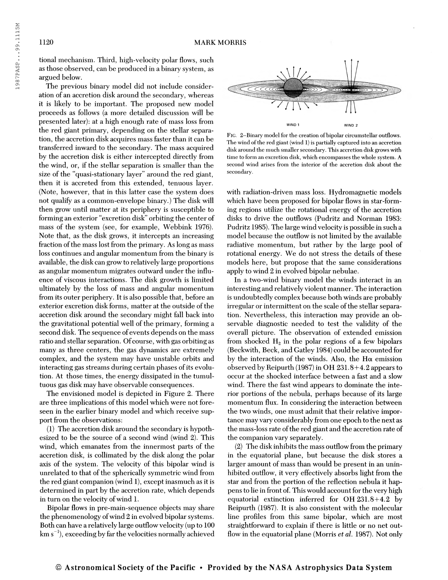1987PASP...99.1115M

tional mechanism. Third, high-velocity polar flows, such as those observed, can be produced in a binary system, as argued below.

The previous binary model did not include consideration of an accretion disk around the secondary, whereas it is likely to be important. The proposed new model proceeds as follows (a more detailed discussion will be presented later): at a high enough rate of mass loss from the red giant primary, depending on the stellar separation, the accretion disk acquires mass faster than it can be transferred inward to the secondary. The mass acquired by the accretion disk is either intercepted directly from the wind, or, if the stellar separation is smaller than the size of the "quasi-stationary layer" around the red giant, then it is accreted from this extended, tenuous layer. (Note, however, that in this latter case the system does not qualify as a common-envelope binary.) The disk will then grow until matter at its periphery is susceptible to forming an exterior "excretion disk" orbiting the center of mass of the system (see, for example, Webbink 1976). Note that, as the disk grows, it intercepts an increasing fraction of the mass lost from the primary. As long as mass loss continues and angular momentum from the binary is available, the disk can grow to relatively large proportions as angular momentum migrates outward under the influence of viscous interactions. The disk growth is limited ultimately by the loss of mass and angular momentum from its outer periphery. It is also possible that, before an exterior excretion disk forms, matter at the outside of the accretion disk around the secondary might fall back into the gravitational potential well of the primary, forming a second disk. The sequence of events depends on the mass ratio and stellar separation. Of course, with gas orbiting as many as three centers, the gas dynamics are extremely complex, and the system may have unstable orbits and interacting gas streams during certain phases of its evolution. At those times, the energy dissipated in the tumultuous gas disk may have observable consequences.

The envisioned model is depicted in Figure 2. There are three implications of this model which were not foreseen in the earlier binary model and which receive support from the observations:

(1) The accretion disk around the secondary is hypothesized to be the source of a second wind (wind 2). This wind, which emanates from the innermost parts of the accretion disk, is collimated by the disk along the polar axis of the system. The velocity of this bipolar wind is unrelated to that of the spherically symmetric wind from the red giant companion (wind 1), except inasmuch as it is determined in part by the accretion rate, which depends in turn on the velocity of wind 1.

Bipolar flows in pre-main-sequence objects may share the phenomenology of wind 2 in evolved bipolar systems. Both can have a relatively large outflow velocity (up to 100  $km s^{-1}$ , exceeding by far the velocities normally achieved



FIG. 2-Binary model for the creation of bipolar circumstellar outflows. The wind of the red giant (wind 1) is partially captured into an accretion disk around the much smaller secondary. This accretion disk grows with time to form an excretion disk, which encompasses the whole system. A second wind arises from the interior of the accretion disk about the secondary.

with radiation-driven mass loss. Hydromagnetic models which have been proposed for bipolar flows in star-forming regions utilize the rotational energy of the accretion disks to drive the outflows (Pudritz and Norman 1983: Pudritz 1985). The large wind velocity is possible in such a model because the outflow is not limited by the available radiative momentum, but rather by the large pool of rotational energy. We do not stress the details of these models here, but propose that the same considerations apply to wind 2 in evolved bipolar nebulae.

In a two-wind binary model the winds interact in an interesting and relatively violent manner. The interaction is undoubtedly complex because both winds are probably irregular or intermittent on the scale of the stellar separation. Nevertheless, this interaction may provide an observable diagnostic needed to test the validity of the overall picture. The observation of extended emission from shocked  $H_2$  in the polar regions of a few bipolars (Beckwith, Beck, and Gatley 1984) could be accounted for by the interaction of the winds. Also, the H $\alpha$  emission observed by Reipurth (1987) in OH 231.8+4.2 appears to occur at the shocked interface between a fast and a slow wind. There the fast wind appears to dominate the interior portions of the nebula, perhaps because of its large momentum flux. In considering the interaction between the two winds, one must admit that their relative importance may vary considerably from one epoch to the next as the mass-loss rate of the red giant and the accretion rate of the companion vary separately.

(2) The disk inhibits the mass outflow from the primary in the equatorial plane, but because the disk stores a larger amount of mass than would be present in an uninhibited outflow, it very effectively absorbs light from the star and from the portion of the reflection nebula it happens to lie in front of. This would account for the very high equatorial extinction inferred for OH 231.8+4.2 by Reipurth (1987). It is also consistent with the molecular line profiles from this same bipolar, which are most straightforward to explain if there is little or no net outflow in the equatorial plane (Morris *et al.* 1987). Not only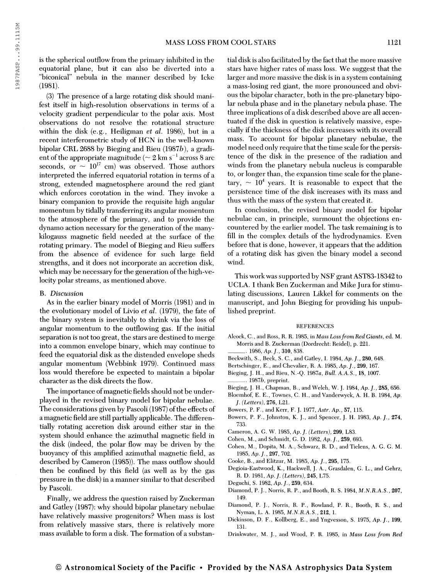(3) The presence of a large rotating disk should manifest itself in high-resolution observations in terms of a velocity gradient perpendicular to the polar axis. Most observations do not resolve the rotational structure within the disk (e.g., Heiligman *et al.* 1986), but in a recent interferometric study of HCN in the well-known bipolar CRL 2688 by Bieging and Rieu {1987b), a gradient of the appropriate magnitude ( $\sim 2$  km s $^{-1}$  across  $8$  arc seconds, or  $\sim 10^{17}$  cm) was observed. Those authors interpreted the inferred equatorial rotation in terms of a strong, extended magnetosphere around the red giant which enforces corotation in the wind. They invoke a binary companion to provide the requisite high angular momentum by tidally transferring its angular momentum to the atmosphere of the primary, and to provide the dynamo action necessary for the generation of the manykilogauss magnetic field needed at the surface of the rotating primary. The model of Bieging and Rieu suffers from the absence of evidence for such large field strengths, and it does not incorporate an accretion disk, which may be necessary for the generation of the high-velocity polar streams, as mentioned above.

### B. Discussion

As in the earlier binary model of Morris (1981) and in the evolutionary model of Livio et al. (1979), the fate of the binary system is inevitably to shrink via the loss of angular momentum to the outflowing gas. If the initial separation is not too great, the stars are destined to merge into a common envelope binary, which may continue to feed the equatorial disk as the distended envelope sheds angular momentum (Webbink 1979). Continued mass loss would therefore be expected to maintain a bipolar character as the disk directs the flow.

The importance of magnetic fields should not be underplayed in the revised binary model for bipolar nebulae. The considerations given by Pascoli (1987) of the effects of a magnetic field are still partially applicable. The differentially rotating accretion disk around either star in the system should enhance the azimuthal magnetic field in the disk (indeed, the polar flow may be driven by the buoyancy of this amplified azimuthal magnetic field, as described by Cameron (1985)). The mass outflow should then be confined by this field (as well as by the gas pressure in the disk) in a manner similar to that described by Pascoli.

Finally, we address the question raised by Zuckerman and Gatley (1987): why should bipolar planetary nebulae have relatively massive progenitors? When mass is lost from relatively massive stars, there is relatively more mass available to form a disk. The formation of a substantial disk is also facilitated by the fact that the more massive stars have higher rates of mass loss. We suggest that the larger and more massive the disk is in a system containing a mass-losing red giant, the more pronounced and obvious the bipolar character, both in the pre-planetary bipolar nebula phase and in the planetary nebula phase. The three implications of a disk described above are all accentuated if the disk in question is relatively massive, especially if the thickness of the disk increases with its overall mass. To account for bipolar planetary nebulae, the model need only require that the time scale for the persistence of the disk in the presence of the radiation and winds from the planetary nebula nucleus is comparable to, or longer than, the expansion time scale for the planetary,  $\sim$   $10^4$  years. It is reasonable to expect that the persistence time of the disk increases with its mass and thus with the mass of the system that created it.

In conclusion, the revised binary model for bipolar nebulae can, in principle, surmount the objections encountered by the earlier model. The task remaining is to fill in the complex details of the hydrodynamics. Even before that is done, however, it appears that the addition of a rotating disk has given the binary model a second wind.

This work was supported by NSF grant AST83-18342 to UCLA. I thank Ben Zuckerman and Mike Jura for stimulating discussions, Lauren Likkel for comments on the manuscript, and John Bieging for providing his unpublished preprint.

#### **REFERENCES**

- Alcock, C., and Ross, R. R. 1985, in Mass Lossfrom Red Giants, ed. M. Morris and B. Zuckerman (Dordrecht: Reidel), p. 221.
	- 1986, Ap. J., 310, 838.
- Beckwith, S., Beck, S. C., and Gatley, I. 1984, Ap. /., 280, 648.
- Bertschinger, E., and Chevalier, R. A. 1985, Ap. J., 299, 167. Bieging, J. H., and Rieu, N.-O. 1987a, Bull. A.A.S., 18, 1007.
- $1987b$ , preprint.
- Bieging, J. H., Chapman, B., and Welch, W. J. 1984, Ap. /., 285, 656.
- Bloemhof, E. E., Townes, C. H., and Vanderwyck, A. H. B. 1984, Ap. J. (Letters), 276, L21.
- Bowers, P. F., and Kerr, F. J. 1977, Astr. Ap., 57, 115.
- Bowers, P. F., Johnston, K. J., and Spencer, J. H. 1983, Ap. /., 274, 733.
- Cameron, A. G. W. 1985, Ap. J. (Letters), 299, L83.
- Cohen, M., and Schmidt, G. D. 1982, Ap. /., 259, 693.
- Cohen, M., Dopita, M. A., Schwarz, R. D., and Tielens, A. G. G. M. 1985, Ap. /., 297, 702.
- Cooke, B., and Elitzur, M. 1985, Ap./., 295, 175.
- Degioia-Eastwood, K., Hackwell, J. A., Grasdalen, G. L., and Gehrz, R. D. 1981, Ap. J. (Letters), 245, L75.
- Deguchi, S. 1982, Ap. /., 259, 634.
- Diamond, P. J., Norris, R. P., and Booth, R. S. 1984, M.N.R.A.S., 207, 149.
- Diamond, P. J., Norris, R. P., Rowland, P. R., Booth, R. S., and Nyman, L. A. 1985, M.N.R.A.S., 212, 1.
- Dickinson, D. F., Kollberg, E., and Yngvesson, S. 1975, Ap. J., 199, 131.
- Drinkwater, M. J., and Wood, P. R. 1985, in Mass Loss from Red